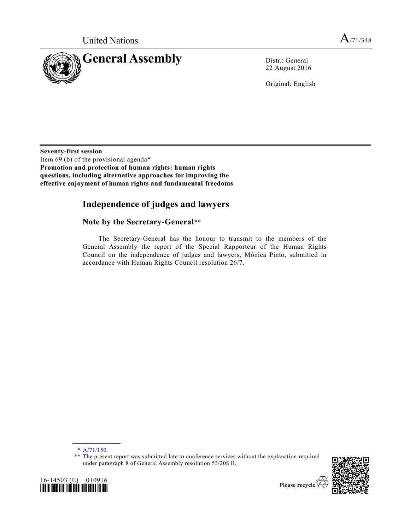

22 August 2016

Original: English

**Seventy-first session** Item 69 (b) of the provisional agenda\* **Promotion and protection of human rights: human rights questions, including alternative approaches for improving the effective enjoyment of human rights and fundamental freedoms**

# **Independence of judges and lawyers**

# **Note by the Secretary-General**\*\*

The Secretary-General has the honour to transmit to the members of the General Assembly the report of the Special Rapporteur of the Human Rights Council on the independence of judges and lawyers, Mónica Pinto, submitted in accordance with Human Rights Council resolution 26/7.

16-14503 (E) 010916 *\*1614503\**

<sup>\*\*</sup> The present report was submitted late to conference services without the explanation required under paragraph 8 of General Assembly resolution 53/208 B.





<sup>\*</sup> [A/71/150.](http://undocs.org/A/71/150)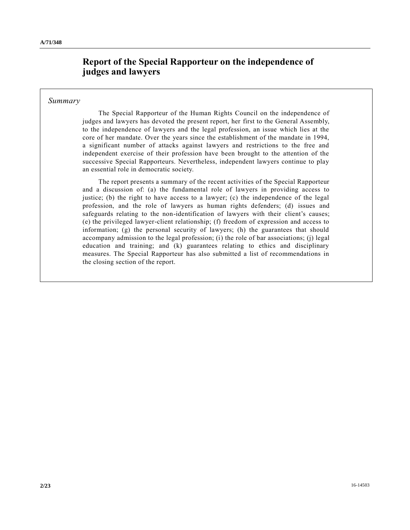# **Report of the Special Rapporteur on the independence of judges and lawyers**

### *Summary*

The Special Rapporteur of the Human Rights Council on the independence of judges and lawyers has devoted the present report, her first to the General Assembly, to the independence of lawyers and the legal profession, an issue which lies at the core of her mandate. Over the years since the establishment of the mandate in 1994, a significant number of attacks against lawyers and restrictions to the free and independent exercise of their profession have been brought to the attention of the successive Special Rapporteurs. Nevertheless, independent lawyers continue to play an essential role in democratic society.

The report presents a summary of the recent activities of the Special Rapporteur and a discussion of: (a) the fundamental role of lawyers in providing access to justice; (b) the right to have access to a lawyer; (c) the independence of the legal profession, and the role of lawyers as human rights defenders; (d) issues and safeguards relating to the non-identification of lawyers with their client's causes; (e) the privileged lawyer-client relationship; (f) freedom of expression and access to information; (g) the personal security of lawyers; (h) the guarantees that should accompany admission to the legal profession; (i) the role of bar associations; (j) legal education and training; and (k) guarantees relating to ethics and disciplinary measures. The Special Rapporteur has also submitted a list of recommendations in the closing section of the report.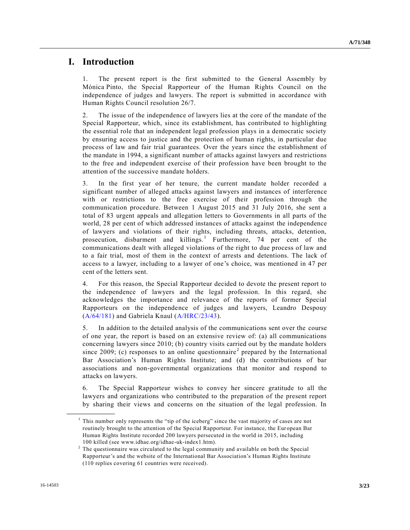# **I. Introduction**

1. The present report is the first submitted to the General Assembly by Mónica Pinto, the Special Rapporteur of the Human Rights Council on the independence of judges and lawyers. The report is submitted in accordance with Human Rights Council resolution 26/7.

2. The issue of the independence of lawyers lies at the core of the mandate of the Special Rapporteur, which, since its establishment, has contributed to highlighting the essential role that an independent legal profession plays in a democratic society by ensuring access to justice and the protection of human rights, in particular due process of law and fair trial guarantees. Over the years since the establishment of the mandate in 1994, a significant number of attacks against lawyers and restrictions to the free and independent exercise of their profession have been brought to the attention of the successive mandate holders.

3. In the first year of her tenure, the current mandate holder recorded a significant number of alleged attacks against lawyers and instances of interference with or restrictions to the free exercise of their profession through the communication procedure. Between 1 August 2015 and 31 July 2016, she sent a total of 83 urgent appeals and allegation letters to Governments in all parts of the world, 28 per cent of which addressed instances of attacks against the independence of lawyers and violations of their rights, including threats, attacks, detention, prosecution, disbarment and killings.<sup>1</sup> Furthermore, 74 per cent of the communications dealt with alleged violations of the right to due process of law and to a fair trial, most of them in the context of arrests and detentions. The lack of access to a lawyer, including to a lawyer of one's choice, was mentioned in 47 per cent of the letters sent.

4. For this reason, the Special Rapporteur decided to devote the present report to the independence of lawyers and the legal profession. In this regard, she acknowledges the importance and relevance of the reports of former Special Rapporteurs on the independence of judges and lawyers, Leandro Despouy  $(A/64/181)$  and Gabriela Knaul  $(A/HRC/23/43)$ .

5. In addition to the detailed analysis of the communications sent over the course of one year, the report is based on an extensive review of: (a) all communications concerning lawyers since 2010; (b) country visits carried out by the mandate holders since 2009; (c) responses to an online questionnaire<sup>2</sup> prepared by the International Bar Association's Human Rights Institute; and (d) the contributions of bar associations and non-governmental organizations that monitor and respond to attacks on lawyers.

6. The Special Rapporteur wishes to convey her sincere gratitude to all the lawyers and organizations who contributed to the preparation of the present report by sharing their views and concerns on the situation of the legal profession. In

 $<sup>1</sup>$  This number only represents the "tip of the iceberg" since the vast majority of cases are not</sup> routinely brought to the attention of the Special Rapporteur. For instance, the Eur opean Bar Human Rights Institute recorded 200 lawyers persecuted in the world in 2015, including 100 killed (see www.idhae.org/idhae-uk-index1.htm).

 $2<sup>2</sup>$  The questionnaire was circulated to the legal community and available on both the Special Rapporteur's and the website of the International Bar Association's Human Rights Institute (110 replies covering 61 countries were received).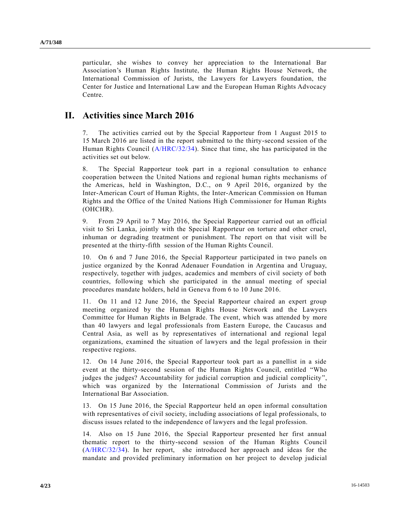particular, she wishes to convey her appreciation to the International Bar Association's Human Rights Institute, the Human Rights House Network, the International Commission of Jurists, the Lawyers for Lawyers foundation, the Center for Justice and International Law and the European Human Rights Advocacy Centre.

# **II. Activities since March 2016**

7. The activities carried out by the Special Rapporteur from 1 August 2015 to 15 March 2016 are listed in the report submitted to the thirty-second session of the Human Rights Council [\(A/HRC/32/34\)](http://undocs.org/A/HRC/32/34). Since that time, she has participated in the activities set out below.

8. The Special Rapporteur took part in a regional consultation to enhance cooperation between the United Nations and regional human rights mechanisms of the Americas, held in Washington, D.C., on 9 April 2016, organized by the Inter-American Court of Human Rights, the Inter-American Commission on Human Rights and the Office of the United Nations High Commissioner for Human Rights (OHCHR).

9. From 29 April to 7 May 2016, the Special Rapporteur carried out an official visit to Sri Lanka, jointly with the Special Rapporteur on torture and other cruel, inhuman or degrading treatment or punishment. The report on that visit will be presented at the thirty-fifth session of the Human Rights Council.

10. On 6 and 7 June 2016, the Special Rapporteur participated in two panels on justice organized by the Konrad Adenauer Foundation in Argentina and Uruguay, respectively, together with judges, academics and members of civil society of both countries, following which she participated in the annual meeting of special procedures mandate holders, held in Geneva from 6 to 10 June 2016.

11. On 11 and 12 June 2016, the Special Rapporteur chaired an expert group meeting organized by the Human Rights House Network and the Lawyers Committee for Human Rights in Belgrade. The event, which was attended by more than 40 lawyers and legal professionals from Eastern Europe, the Caucasus and Central Asia, as well as by representatives of international and regional legal organizations, examined the situation of lawyers and the legal profession in their respective regions.

12. On 14 June 2016, the Special Rapporteur took part as a panellist in a side event at the thirty-second session of the Human Rights Council, entitled "Who judges the judges? Accountability for judicial corruption and judicial complicity", which was organized by the International Commission of Jurists and the International Bar Association.

13. On 15 June 2016, the Special Rapporteur held an open informal consultation with representatives of civil society, including associations of legal professionals, to discuss issues related to the independence of lawyers and the legal profession.

14. Also on 15 June 2016, the Special Rapporteur presented her first annual thematic report to the thirty-second session of the Human Rights Council [\(A/HRC/32/34\)](http://undocs.org/A/HRC/32/34). In her report, she introduced her approach and ideas for the mandate and provided preliminary information on her project to develop judicial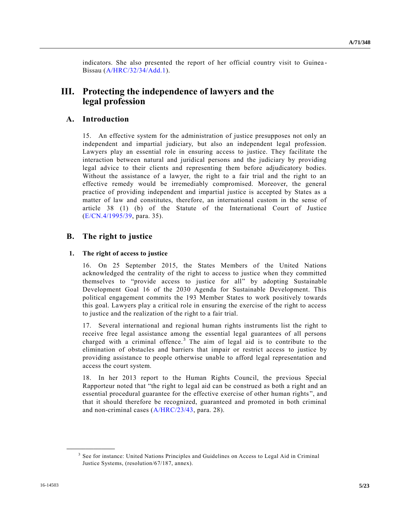indicators. She also presented the report of her official country visit to Guinea - Bissau [\(A/HRC/32/34/Add.1\)](http://undocs.org/A/HRC/32/34/Add.1).

# **III. Protecting the independence of lawyers and the legal profession**

# **A. Introduction**

15. An effective system for the administration of justice presupposes not only an independent and impartial judiciary, but also an independent legal profession. Lawyers play an essential role in ensuring access to justice. They facilitate the interaction between natural and juridical persons and the judiciary by providing legal advice to their clients and representing them before adjudicatory bodies. Without the assistance of a lawyer, the right to a fair trial and the right to an effective remedy would be irremediably compromised. Moreover, the general practice of providing independent and impartial justice is accepted by States as a matter of law and constitutes, therefore, an international custom in the sense of article 38 (1) (b) of the Statute of the International Court of Justice [\(E/CN.4/1995/39,](http://undocs.org/E/CN.4/1995/39) para. 35).

## **B. The right to justice**

## **1. The right of access to justice**

16. On 25 September 2015, the States Members of the United Nations acknowledged the centrality of the right to access to justice when they committed themselves to "provide access to justice for all" by adopting Sustainable Development Goal 16 of the 2030 Agenda for Sustainable Development. This political engagement commits the 193 Member States to work positively towards this goal. Lawyers play a critical role in ensuring the exercise of the right to access to justice and the realization of the right to a fair trial.

17. Several international and regional human rights instruments list the right to receive free legal assistance among the essential legal guarantees of all persons charged with a criminal offence.<sup>3</sup> The aim of legal aid is to contribute to the elimination of obstacles and barriers that impair or restrict access to justice by providing assistance to people otherwise unable to afford legal representation and access the court system.

18. In her 2013 report to the Human Rights Council, the previous Special Rapporteur noted that "the right to legal aid can be construed as both a right and an essential procedural guarantee for the effective exercise of other human rights ", and that it should therefore be recognized, guaranteed and promoted in both criminal and non-criminal cases [\(A/HRC/23/43,](http://undocs.org/A/HRC/23/43) para. 28).

<sup>&</sup>lt;sup>3</sup> See for instance: United Nations Principles and Guidelines on Access to Legal Aid in Criminal Justice Systems, (resolution/67/187, annex).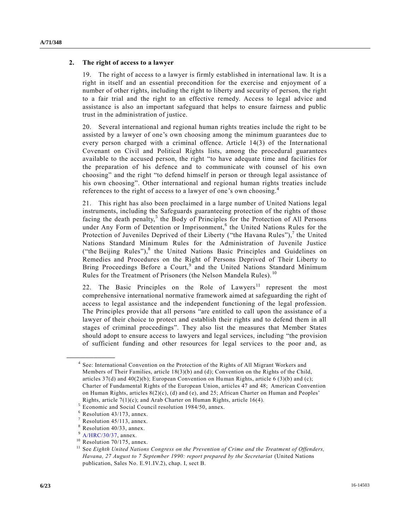### **2. The right of access to a lawyer**

19. The right of access to a lawyer is firmly established in international law. It is a right in itself and an essential precondition for the exercise and enjoyment of a number of other rights, including the right to liberty and security of person, the right to a fair trial and the right to an effective remedy. Access to legal advice and assistance is also an important safeguard that helps to ensure fairness and public trust in the administration of justice.

20. Several international and regional human rights treaties include the right to be assisted by a lawyer of one's own choosing among the minimum guarantees due to every person charged with a criminal offence. Article 14(3) of the International Covenant on Civil and Political Rights lists, among the procedural guarantees available to the accused person, the right "to have adequate time and facilities for the preparation of his defence and to communicate with counsel of his own choosing" and the right "to defend himself in person or through legal assistance of his own choosing". Other international and regional human rights treaties include references to the right of access to a lawyer of one's own choosing.<sup>4</sup>

21. This right has also been proclaimed in a large number of United Nations legal instruments, including the Safeguards guaranteeing protection of the rights of those facing the death penalty,<sup>5</sup> the Body of Principles for the Protection of All Persons under Any Form of Detention or Imprisonment,<sup>6</sup> the United Nations Rules for the Protection of Juveniles Deprived of their Liberty ("the Havana Rules"), $^7$  the United Nations Standard Minimum Rules for the Administration of Juvenile Justice ("the Beijing Rules"),<sup>8</sup> the United Nations Basic Principles and Guidelines on Remedies and Procedures on the Right of Persons Deprived of Their Liberty to Bring Proceedings Before a Court,<sup>9</sup> and the United Nations Standard Minimum Rules for the Treatment of Prisoners (the Nelson Mandela Rules).<sup>10</sup>

22. The Basic Principles on the Role of Lawyers<sup>11</sup> represent the most comprehensive international normative framework aimed at safeguarding the right of access to legal assistance and the independent functioning of the legal profession. The Principles provide that all persons "are entitled to call upon the assistance of a lawyer of their choice to protect and establish their rights and to defend them in all stages of criminal proceedings". They also list the measures that Member States should adopt to ensure access to lawyers and legal services, including "the provision of sufficient funding and other resources for legal services to the poor and, as

<sup>&</sup>lt;sup>4</sup> See: International Convention on the Protection of the Rights of All Migrant Workers and Members of Their Families, article 18(3)(b) and (d); Convention on the Rights of the Child, articles  $37(d)$  and  $40(2)(b)$ ; European Convention on Human Rights, article 6 (3)(b) and (c); Charter of Fundamental Rights of the European Union, articles 47 and 48; American Convention on Human Rights, articles 8(2)(c), (d) and (e), and 25; African Charter on Human and Peoples' Rights, article 7(1)(c); and Arab Charter on Human Rights, article 16(4).

<sup>5</sup> Economic and Social Council resolution 1984/50, annex.

Resolution 43/173, annex.

Resolution 45/113, annex.

Resolution 40/33, annex.

 $^{9}$  [A/HRC/30/37,](http://undocs.org/A/HRC/30/37) annex.

Resolution 70/175, annex.

<sup>&</sup>lt;sup>11</sup> See *Eighth United Nations Congress on the Prevention of Crime and the Treatment of Offenders, Havana, 27 August to 7 September 1990: report prepared by the Secretariat* (United Nations publication, Sales No. E.91.IV.2), chap. I, sect B.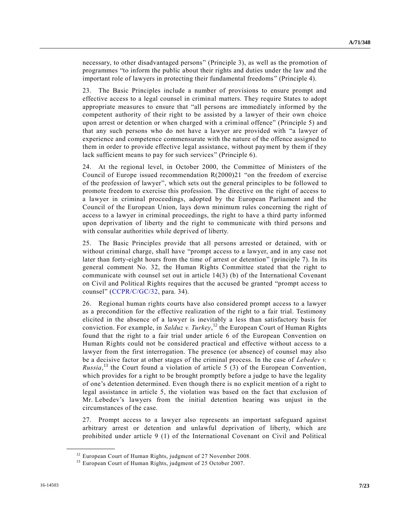necessary, to other disadvantaged persons" (Principle 3), as well as the promotion of programmes "to inform the public about their rights and duties under the law and the important role of lawyers in protecting their fundamental freedoms " (Principle 4).

23. The Basic Principles include a number of provisions to ensure prompt and effective access to a legal counsel in criminal matters. They require States to adopt appropriate measures to ensure that "all persons are immediately informed by the competent authority of their right to be assisted by a lawyer of their own choice upon arrest or detention or when charged with a criminal offence" (Principle 5) and that any such persons who do not have a lawyer are provided with "a lawyer of experience and competence commensurate with the nature of the offence assigned to them in order to provide effective legal assistance, without payment by them if they lack sufficient means to pay for such services" (Principle 6).

24. At the regional level, in October 2000, the Committee of Ministers of the Council of Europe issued recommendation R(2000)21 "on the freedom of exercise of the profession of lawyer", which sets out the general principles to be followed to promote freedom to exercise this profession. The directive on the right of access to a lawyer in criminal proceedings, adopted by the European Parliament and the Council of the European Union, lays down minimum rules concerning the right of access to a lawyer in criminal proceedings, the right to have a third party informed upon deprivation of liberty and the right to communicate with third persons and with consular authorities while deprived of liberty.

25. The Basic Principles provide that all persons arrested or detained, with or without criminal charge, shall have "prompt access to a lawyer, and in any case not later than forty-eight hours from the time of arrest or detention" (principle 7). In its general comment No. 32, the Human Rights Committee stated that the right to communicate with counsel set out in article 14(3) (b) of the International Covenant on Civil and Political Rights requires that the accused be granted "prompt access to counsel" [\(CCPR/C/GC/32,](http://undocs.org/CCPR/C/GC/32) para. 34).

26. Regional human rights courts have also considered prompt access to a lawyer as a precondition for the effective realization of the right to a fair trial. Testimony elicited in the absence of a lawyer is inevitably a less than satisfactory basis for conviction. For example, in *Salduz v. Turkey*, <sup>12</sup> the European Court of Human Rights found that the right to a fair trial under article 6 of the European Convention on Human Rights could not be considered practical and effective without access to a lawyer from the first interrogation. The presence (or absence) of counsel may also be a decisive factor at other stages of the criminal process. In the case of *Lebedev v. Russia*,<sup>13</sup> the Court found a violation of article 5 (3) of the European Convention, which provides for a right to be brought promptly before a judge to have the legality of one's detention determined. Even though there is no explicit mention of a right to legal assistance in article 5, the violation was based on the fact that exclusion of Mr. Lebedev's lawyers from the initial detention hearing was unjust in the circumstances of the case.

27. Prompt access to a lawyer also represents an important safeguard against arbitrary arrest or detention and unlawful deprivation of liberty, which are prohibited under article 9 (1) of the International Covenant on Civil and Political

<sup>&</sup>lt;sup>12</sup> European Court of Human Rights, judgment of 27 November 2008.

<sup>&</sup>lt;sup>13</sup> European Court of Human Rights, judgment of 25 October 2007.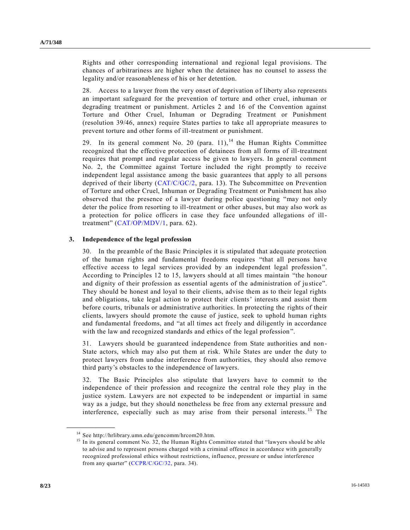Rights and other corresponding international and regional legal provisions. The chances of arbitrariness are higher when the detainee has no counsel to assess the legality and/or reasonableness of his or her detention.

28. Access to a lawyer from the very onset of deprivation of liberty also represents an important safeguard for the prevention of torture and other cruel, inhuman or degrading treatment or punishment. Articles 2 and 16 of the Convention against Torture and Other Cruel, Inhuman or Degrading Treatment or Punishment (resolution 39/46, annex) require States parties to take all appropriate measures to prevent torture and other forms of ill-treatment or punishment.

29. In its general comment No. 20 (para. 11), <sup>14</sup> the Human Rights Committee recognized that the effective protection of detainees from all forms of ill-treatment requires that prompt and regular access be given to lawyers. In general comment No. 2, the Committee against Torture included the right promptly to receive independent legal assistance among the basic guarantees that apply to all persons deprived of their liberty [\(CAT/C/GC/2,](http://undocs.org/CAT/C/GC/2) para. 13). The Subcommittee on Prevention of Torture and other Cruel, Inhuman or Degrading Treatment or Punishment has also observed that the presence of a lawyer during police questioning "may not only deter the police from resorting to ill-treatment or other abuses, but may also work as a protection for police officers in case they face unfounded allegations of illtreatment" [\(CAT/OP/MDV/1,](http://undocs.org/CAT/OP/MDV/1) para. 62).

#### **3. Independence of the legal profession**

30. In the preamble of the Basic Principles it is stipulated that adequate protection of the human rights and fundamental freedoms requires "that all persons have effective access to legal services provided by an independent legal profession ". According to Principles 12 to 15, lawyers should at all times maintain "the honour and dignity of their profession as essential agents of the administration of ju stice". They should be honest and loyal to their clients, advise them as to their legal rights and obligations, take legal action to protect their clients' interests and assist them before courts, tribunals or administrative authorities. In protecting the rights of their clients, lawyers should promote the cause of justice, seek to uphold human rights and fundamental freedoms, and "at all times act freely and diligently in accordance with the law and recognized standards and ethics of the legal profession".

31. Lawyers should be guaranteed independence from State authorities and non-State actors, which may also put them at risk. While States are under the duty to protect lawyers from undue interference from authorities, they should also remove third party's obstacles to the independence of lawyers.

32. The Basic Principles also stipulate that lawyers have to commit to the independence of their profession and recognize the central role they play in the justice system. Lawyers are not expected to be independent or impartial in same way as a judge, but they should nonetheless be free from any external pressure and interference, especially such as may arise from their personal interests.<sup>15</sup> The

<sup>14</sup> See http://hrlibrary.umn.edu/gencomm/hrcom20.htm.

<sup>&</sup>lt;sup>15</sup> In its general comment No. 32, the Human Rights Committee stated that "lawyers should be able to advise and to represent persons charged with a criminal offence in accordance with generally recognized professional ethics without restrictions, influence, pressure or undue interference from any quarter" [\(CCPR/C/GC/32,](http://undocs.org/CCPR/C/GC/32) para. 34).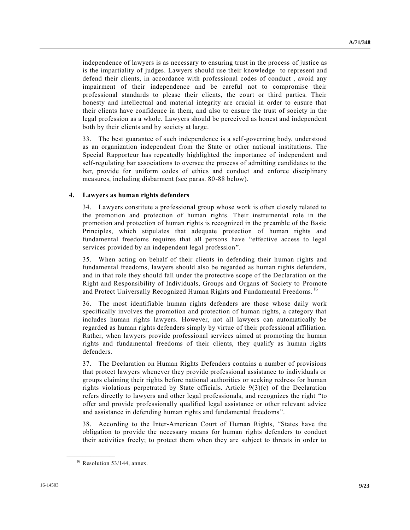independence of lawyers is as necessary to ensuring trust in the process of justice as is the impartiality of judges. Lawyers should use their knowledge to represent and defend their clients, in accordance with professional codes of conduct , avoid any impairment of their independence and be careful not to compromise their professional standards to please their clients, the court or third parties. Their honesty and intellectual and material integrity are crucial in order to ensure that their clients have confidence in them, and also to ensure the trust of society in the legal profession as a whole. Lawyers should be perceived as honest and independent both by their clients and by society at large.

33. The best guarantee of such independence is a self-governing body, understood as an organization independent from the State or other national institutions. The Special Rapporteur has repeatedly highlighted the importance of independent and self-regulating bar associations to oversee the process of admitting candidates to the bar, provide for uniform codes of ethics and conduct and enforce disciplinary measures, including disbarment (see paras. 80-88 below).

### **4. Lawyers as human rights defenders**

34. Lawyers constitute a professional group whose work is often closely related to the promotion and protection of human rights. Their instrumental role in the promotion and protection of human rights is recognized in the preamble of the Basic Principles, which stipulates that adequate protection of human rights and fundamental freedoms requires that all persons have "effective access to legal services provided by an independent legal profession".

35. When acting on behalf of their clients in defending their human rights and fundamental freedoms, lawyers should also be regarded as human rights defenders, and in that role they should fall under the protective scope of the Declaration on the Right and Responsibility of Individuals, Groups and Organs of Society to Promote and Protect Universally Recognized Human Rights and Fundamental Freedoms. <sup>16</sup>

36. The most identifiable human rights defenders are those whose daily work specifically involves the promotion and protection of human rights, a category that includes human rights lawyers. However, not all lawyers can automatically be regarded as human rights defenders simply by virtue of their professional affiliation. Rather, when lawyers provide professional services aimed at promoting the human rights and fundamental freedoms of their clients, they qualify as human rights defenders.

37. The Declaration on Human Rights Defenders contains a number of provisions that protect lawyers whenever they provide professional assistance to individuals or groups claiming their rights before national authorities or seeking redress for human rights violations perpetrated by State officials. Article  $9(3)(c)$  of the Declaration refers directly to lawyers and other legal professionals, and recognizes the right "to offer and provide professionally qualified legal assistance or other relevant advice and assistance in defending human rights and fundamental freedoms".

38. According to the Inter-American Court of Human Rights, "States have the obligation to provide the necessary means for human rights defenders to conduct their activities freely; to protect them when they are subject to threats in order to

 $16$  Resolution 53/144, annex.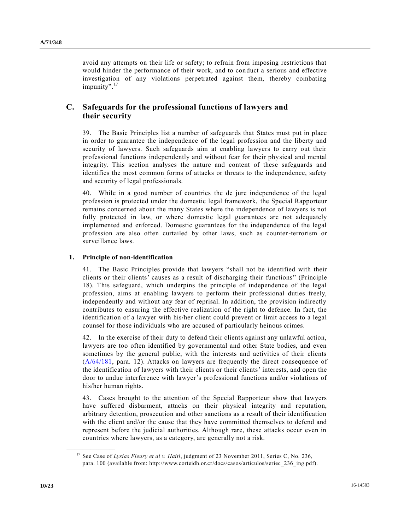avoid any attempts on their life or safety; to refrain from imposing restrictions that would hinder the performance of their work, and to conduct a serious and effective investigation of any violations perpetrated against them, thereby combating impunity".<sup>17</sup>

# **C. Safeguards for the professional functions of lawyers and their security**

39. The Basic Principles list a number of safeguards that States must put in place in order to guarantee the independence of the legal profession and the liberty and security of lawyers. Such safeguards aim at enabling lawyers to carry out their professional functions independently and without fear for their physical and mental integrity. This section analyses the nature and content of these safeguards and identifies the most common forms of attacks or threats to the independence, safety and security of legal professionals.

40. While in a good number of countries the de jure independence of the legal profession is protected under the domestic legal framework, the Special Rapporteur remains concerned about the many States where the independence of lawyers is not fully protected in law, or where domestic legal guarantees are not adequately implemented and enforced. Domestic guarantees for the independence of the legal profession are also often curtailed by other laws, such as counter-terrorism or surveillance laws.

## **1. Principle of non-identification**

41. The Basic Principles provide that lawyers "shall not be identified with their clients or their clients' causes as a result of discharging their functions" (Principle 18). This safeguard, which underpins the principle of independence of the legal profession, aims at enabling lawyers to perform their professional duties freely, independently and without any fear of reprisal. In addition, the provision indirectly contributes to ensuring the effective realization of the right to defence. In fact, the identification of a lawyer with his/her client could prevent or limit access to a legal counsel for those individuals who are accused of particularly heinous crimes.

42. In the exercise of their duty to defend their clients against any unlawful action, lawyers are too often identified by governmental and other State bodies, and even sometimes by the general public, with the interests and activities of their clients [\(A/64/181,](http://undocs.org/A/64/181) para. 12). Attacks on lawyers are frequently the direct consequence of the identification of lawyers with their clients or their clients' interests, and open the door to undue interference with lawyer's professional functions and/or violations of his/her human rights.

43. Cases brought to the attention of the Special Rapporteur show that lawyers have suffered disbarment, attacks on their physical integrity and reputation, arbitrary detention, prosecution and other sanctions as a result of their identification with the client and/or the cause that they have committed themselves to defend and represent before the judicial authorities. Although rare, these attacks occur even in countries where lawyers, as a category, are generally not a risk.

<sup>&</sup>lt;sup>17</sup> See Case of *Lysias Fleury et al v. Haiti*, judgment of 23 November 2011, Series C, No. 236, para. 100 (available from: http://www.corteidh.or.cr/docs/casos/articulos/seriec\_236\_ing.pdf).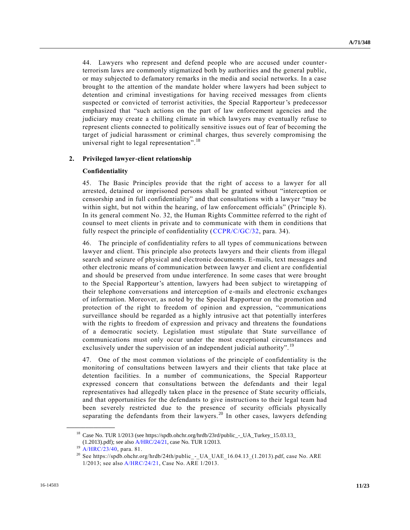44. Lawyers who represent and defend people who are accused under counterterrorism laws are commonly stigmatized both by authorities and the general public, or may subjected to defamatory remarks in the media and social networks. In a case brought to the attention of the mandate holder where lawyers had been subject to detention and criminal investigations for having received messages from clients suspected or convicted of terrorist activities, the Special Rapporteur's predecessor emphasized that "such actions on the part of law enforcement agencies and the judiciary may create a chilling climate in which lawyers may eventually refuse to represent clients connected to politically sensitive issues out of fear of becoming the target of judicial harassment or criminal charges, thus severely compromising the universal right to legal representation".<sup>18</sup>

#### **2. Privileged lawyer-client relationship**

#### **Confidentiality**

45. The Basic Principles provide that the right of access to a lawyer for all arrested, detained or imprisoned persons shall be granted without "interception or censorship and in full confidentiality" and that consultations with a lawyer "may be within sight, but not within the hearing, of law enforcement officials" (Principle 8). In its general comment No. 32, the Human Rights Committee referred to the right of counsel to meet clients in private and to communicate with them in conditions that fully respect the principle of confidentiality [\(CCPR/C/GC/32,](http://undocs.org/CCPR/C/GC/32) para. 34).

46. The principle of confidentiality refers to all types of communications between lawyer and client. This principle also protects lawyers and their clients from illegal search and seizure of physical and electronic documents. E-mails, text messages and other electronic means of communication between lawyer and client a re confidential and should be preserved from undue interference. In some cases that were brought to the Special Rapporteur's attention, lawyers had been subject to wiretapping of their telephone conversations and interception of e-mails and electronic exchanges of information. Moreover, as noted by the Special Rapporteur on the promotion and protection of the right to freedom of opinion and expression, "communications surveillance should be regarded as a highly intrusive act that potentially interferes with the rights to freedom of expression and privacy and threatens the foundations of a democratic society. Legislation must stipulate that State surveillance of communications must only occur under the most exceptional circumstances and exclusively under the supervision of an independent judicial authority".<sup>19</sup>

47. One of the most common violations of the principle of confidentiality is the monitoring of consultations between lawyers and their clients that take place at detention facilities. In a number of communications, the Special Rapporteur expressed concern that consultations between the defendants and their legal representatives had allegedly taken place in the presence of State security officials, and that opportunities for the defendants to give instructions to their legal team had been severely restricted due to the presence of security officials physically separating the defendants from their lawyers.<sup>20</sup> In other cases, lawyers defending

<sup>&</sup>lt;sup>18</sup> Case No. TUR 1/2013 (see https://spdb.ohchr.org/hrdb/23rd/public\_-\_UA\_Turkey\_15.03.13\_

<sup>(1.2013).</sup>pdf); see also [A/HRC/24/21,](http://undocs.org/A/HRC/24/21) case No. TUR 1/2013.

<sup>&</sup>lt;sup>19</sup> [A/HRC/23/40,](http://undocs.org/A/HRC/23/40) para. 81.

<sup>&</sup>lt;sup>20</sup> See https://spdb.ohchr.org/hrdb/24th/public\_-\_UA\_UAE\_16.04.13\_(1.2013).pdf, case No. ARE 1/2013; see als[o A/HRC/24/21,](http://undocs.org/A/HRC/24/21) Case No. ARE 1/2013.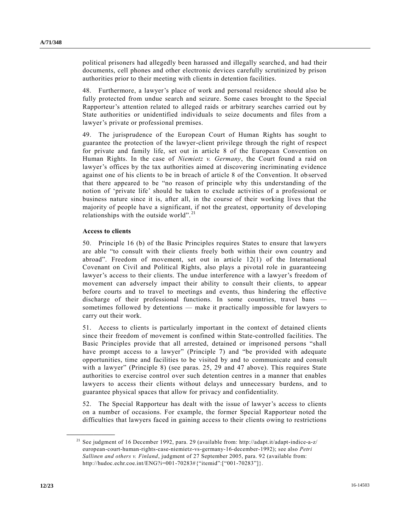political prisoners had allegedly been harassed and illegally searched, and had their documents, cell phones and other electronic devices carefully scrutinized by prison authorities prior to their meeting with clients in detention facilities.

48. Furthermore, a lawyer's place of work and personal residence should also be fully protected from undue search and seizure. Some cases brought to the Special Rapporteur's attention related to alleged raids or arbitrary searches carried out by State authorities or unidentified individuals to seize documents and files from a lawyer's private or professional premises.

49. The jurisprudence of the European Court of Human Rights has sought to guarantee the protection of the lawyer-client privilege through the right of respect for private and family life, set out in article 8 of the European Convention on Human Rights. In the case of *Niemietz v. Germany*, the Court found a raid on lawyer's offices by the tax authorities aimed at discovering incriminating evidence against one of his clients to be in breach of article 8 of the Convention. It ob served that there appeared to be "no reason of principle why this understanding of the notion of 'private life' should be taken to exclude activities of a professional or business nature since it is, after all, in the course of their working lives that the majority of people have a significant, if not the greatest, opportunity of developing relationships with the outside world". <sup>21</sup>

#### **Access to clients**

50. Principle 16 (b) of the Basic Principles requires States to ensure that lawyers are able "to consult with their clients freely both within their own country and abroad". Freedom of movement, set out in article 12(1) of the International Covenant on Civil and Political Rights, also plays a pivotal role in guaranteeing lawyer's access to their clients. The undue interference with a lawyer's freedom of movement can adversely impact their ability to consult their clients, to appear before courts and to travel to meetings and events, thus hindering the effective discharge of their professional functions. In some countries, travel bans sometimes followed by detentions — make it practically impossible for lawyers to carry out their work.

51. Access to clients is particularly important in the context of detained clients since their freedom of movement is confined within State-controlled facilities. The Basic Principles provide that all arrested, detained or imprisoned persons "shall have prompt access to a lawyer" (Principle 7) and "be provided with adequate opportunities, time and facilities to be visited by and to communicate and consult with a lawyer" (Principle 8) (see paras. 25, 29 and 47 above). This requires State authorities to exercise control over such detention centres in a manner that enables lawyers to access their clients without delays and unnecessary burdens, and to guarantee physical spaces that allow for privacy and confidentiality.

52. The Special Rapporteur has dealt with the issue of lawyer's access to clients on a number of occasions. For example, the former Special Rapporteur noted the difficulties that lawyers faced in gaining access to their clients owing to restrictions

<sup>21</sup> See judgment of 16 December 1992, para. 29 (available from: http://adapt.it/adapt-indice-a-z/ european-court-human-rights-case-niemietz-vs-germany-16-december-1992); see also *Petri Sallinen and others v. Finland*, judgment of 27 September 2005, para. 92 (available from: http://hudoc.echr.coe.int/ENG?i=001-70283#{"itemid":["001-70283"]}.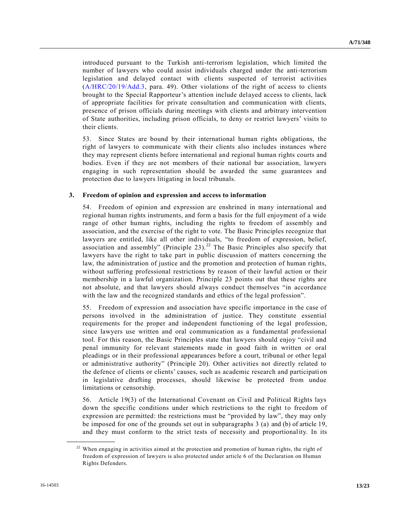introduced pursuant to the Turkish anti-terrorism legislation, which limited the number of lawyers who could assist individuals charged under the anti-terrorism legislation and delayed contact with clients suspected of terrorist activities [\(A/HRC/20/19/Add.3,](http://undocs.org/A/HRC/20/19/Add.3) para. 49). Other violations of the right of access to clients brought to the Special Rapporteur's attention include delayed access to clients, lack of appropriate facilities for private consultation and communication with clients, presence of prison officials during meetings with clients and arbitrary intervention of State authorities, including prison officials, to deny or restrict lawyers' visits to their clients.

53. Since States are bound by their international human rights obligations, the right of lawyers to communicate with their clients also includes instances where they may represent clients before international and regional human rights courts and bodies. Even if they are not members of their national bar association, lawyers engaging in such representation should be awarded the same guarantees and protection due to lawyers litigating in local tribunals.

#### **3. Freedom of opinion and expression and access to information**

54. Freedom of opinion and expression are enshrined in many international and regional human rights instruments, and form a basis for the full enjoyment of a wide range of other human rights, including the rights to freedom of assembly and association, and the exercise of the right to vote. The Basic Principles recognize that lawyers are entitled, like all other individuals, "to freedom of expression, belief, association and assembly" (Principle 23).<sup>22</sup> The Basic Principles also specify that lawyers have the right to take part in public discussion of matters concerning the law, the administration of justice and the promotion and protection of human rights, without suffering professional restrictions by reason of their lawful action or their membership in a lawful organization. Principle 23 points out that these rights are not absolute, and that lawyers should always conduct themselves "in accordance with the law and the recognized standards and ethics of the legal profession".

55. Freedom of expression and association have specific importance in the case of persons involved in the administration of justice. They constitute essential requirements for the proper and independent functioning of the legal profession, since lawyers use written and oral communication as a fundamental professional tool. For this reason, the Basic Principles state that lawyers should enjoy "civil and penal immunity for relevant statements made in good faith in written or oral pleadings or in their professional appearances before a court, tribunal or other legal or administrative authority" (Principle 20). Other activities not directly related to the defence of clients or clients' causes, such as academic research and participati on in legislative drafting processes, should likewise be protected from undue limitations or censorship.

56. Article 19(3) of the International Covenant on Civil and Political Rights lays down the specific conditions under which restrictions to the right to freedom of expression are permitted: the restrictions must be "provided by law", they may only be imposed for one of the grounds set out in subparagraphs 3 (a) and (b) of article 19, and they must conform to the strict tests of necessity and proportionality. In its

 $22$  When engaging in activities aimed at the protection and promotion of human rights, the right of freedom of expression of lawyers is also protected under article 6 of the Declaration on Human Rights Defenders.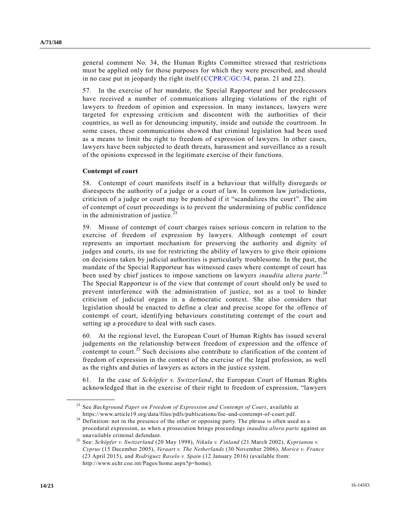general comment No. 34, the Human Rights Committee stressed that restrictions must be applied only for those purposes for which they were prescribed, and should in no case put in jeopardy the right itself [\(CCPR/C/GC/34,](http://undocs.org/CCPR/C/GC/34) paras. 21 and 22).

57. In the exercise of her mandate, the Special Rapporteur and her predecessors have received a number of communications alleging violations of the right of lawyers to freedom of opinion and expression. In many instances, lawyers were targeted for expressing criticism and discontent with the authorities of their countries, as well as for denouncing impunity, inside and outside the courtroom. In some cases, these communications showed that criminal legislation had be en used as a means to limit the right to freedom of expression of lawyers. In other cases, lawyers have been subjected to death threats, harassment and surveillance as a result of the opinions expressed in the legitimate exercise of their functions.

#### **Contempt of court**

58. Contempt of court manifests itself in a behaviour that wilfully disregards or disrespects the authority of a judge or a court of law. In common law jurisdictions, criticism of a judge or court may be punished if it "scandalizes the court". The aim of contempt of court proceedings is to prevent the undermining of public confidence in the administration of justice. $^{23}$ 

59. Misuse of contempt of court charges raises serious concern in relation to the exercise of freedom of expression by lawyers. Although contempt of court represents an important mechanism for preserving the authority and dignity of judges and courts, its use for restricting the ability of lawyers to give their opinions on decisions taken by judicial authorities is particularly troublesome. In the past, the mandate of the Special Rapporteur has witnessed cases where contempt of court has been used by chief justices to impose sanctions on lawyers *inaudita altera parte*. 24 The Special Rapporteur is of the view that contempt of court should only be used to prevent interference with the administration of justice, not as a tool to hinder criticism of judicial organs in a democratic context. She also considers that legislation should be enacted to define a clear and precise scope for the offence of contempt of court, identifying behaviours constituting contempt of the court and setting up a procedure to deal with such cases.

60. At the regional level, the European Court of Human Rights has issued several judgements on the relationship between freedom of expression and the offence of contempt to court.<sup>25</sup> Such decisions also contribute to clarification of the content of freedom of expression in the context of the exercise of the legal profession, as well as the rights and duties of lawyers as actors in the justice system.

61. In the case of *Schöpfer v. Switzerland*, the European Court of Human Rights acknowledged that in the exercise of their right to freedom of expression, "lawyers

<sup>23</sup> See *Background Paper on Freedom of Expression and Contempt of Court*, available at https://www.article19.org/data/files/pdfs/publications/foe-and-contempt-of-court.pdf.

<sup>&</sup>lt;sup>24</sup> Definition: not in the presence of the other or opposing party. The phrase is often used as a procedural expression, as when a prosecution brings proceedings *inaudita altera parte* against an unavailable criminal defendant.

<sup>25</sup> See: *Schöpfer v. Switzerland* (20 May 1998), *Nikula v. Finland* (21 March 2002), *Kyprianou v. Cyprus* (15 December 2005), *Veraart v. The Netherlands* (30 November 2006), *Morice v. France* (23 April 2015), and *Rodriguez Ravelo v. Spain* (12 January 2016) (available from: http://www.echr.coe.int/Pages/home.aspx?p=home).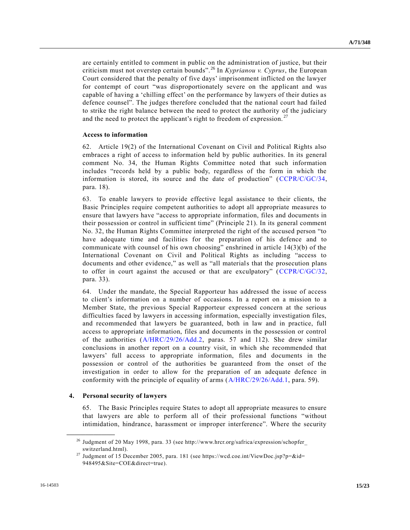are certainly entitled to comment in public on the administration of justice, but their criticism must not overstep certain bounds". <sup>26</sup> In *Kyprianou v. Cyprus*, the European Court considered that the penalty of five days' imprisonment inflicted on the lawyer for contempt of court "was disproportionately severe on the applicant and was capable of having a 'chilling effect' on the performance by lawyers of their duties as defence counsel". The judges therefore concluded that the national court had failed to strike the right balance between the need to protect the authority of the judiciary and the need to protect the applicant's right to freedom of expression.<sup>27</sup>

## **Access to information**

62. Article 19(2) of the International Covenant on Civil and Political Rights also embraces a right of access to information held by public authorities. In its general comment No. 34, the Human Rights Committee noted that such information includes "records held by a public body, regardless of the form in which the information is stored, its source and the date of production" [\(CCPR/C/GC/34,](http://undocs.org/CCPR/C/GC/34) para. 18).

63. To enable lawyers to provide effective legal assistance to their clients, the Basic Principles require competent authorities to adopt all appropriate measures to ensure that lawyers have "access to appropriate information, files and documents in their possession or control in sufficient time" (Principle 21). In its general comment No. 32, the Human Rights Committee interpreted the right of the accused person "to have adequate time and facilities for the preparation of his defence and to communicate with counsel of his own choosing" enshrined in article  $14(3)(b)$  of the International Covenant on Civil and Political Rights as including "access to documents and other evidence," as well as "all materials that the prosecution plans to offer in court against the accused or that are exculpatory" [\(CCPR/C/GC/32,](http://undocs.org/CCPR/C/GC/32) para. 33).

64. Under the mandate, the Special Rapporteur has addressed the issue of access to client's information on a number of occasions. In a report on a mission to a Member State, the previous Special Rapporteur expressed concern at the serious difficulties faced by lawyers in accessing information, especially investigation files, and recommended that lawyers be guaranteed, both in law and in practice, full access to appropriate information, files and documents in the possession or control of the authorities [\(A/HRC/29/26/Add.2,](http://undocs.org/A/HRC/29/26/Add.2) paras. 57 and 112). She drew similar conclusions in another report on a country visit, in which she recommended that lawyers' full access to appropriate information, files and documents in the possession or control of the authorities be guaranteed from the onset of the investigation in order to allow for the preparation of an adequate defence in conformity with the principle of equality of arms [\(A/HRC/29/26/Add.1,](http://undocs.org/A/HRC/29/26/Add.1) para. 59).

### **4. Personal security of lawyers**

**\_\_\_\_\_\_\_\_\_\_\_\_\_\_\_\_\_\_**

65. The Basic Principles require States to adopt all appropriate measures to ensure that lawyers are able to perform all of their professional functions "without intimidation, hindrance, harassment or improper interference". Where the security

<sup>26</sup> Judgment of 20 May 1998, para. 33 (see http://www.hrcr.org/safrica/expression/schopfer\_ switzerland.html).

<sup>&</sup>lt;sup>27</sup> Judgment of 15 December 2005, para. 181 (see https://wcd.coe.int/ViewDoc.jsp?p=&id= 948495&Site=COE&direct=true).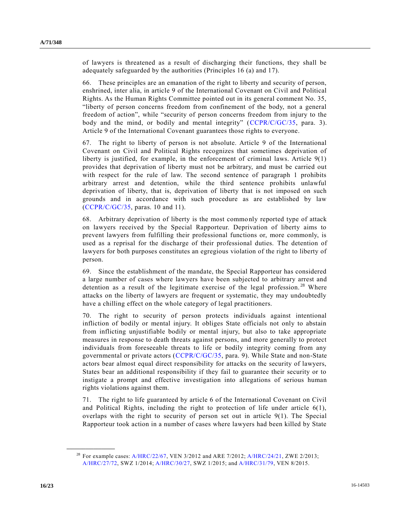of lawyers is threatened as a result of discharging their functions, they shall be adequately safeguarded by the authorities (Principles 16 (a) and 17).

66. These principles are an emanation of the right to liberty and security of person, enshrined, inter alia, in article 9 of the International Covenant on Civil and Political Rights. As the Human Rights Committee pointed out in its general comment No. 35, "liberty of person concerns freedom from confinement of the body, not a general freedom of action", while "security of person concerns freedom from injury to the body and the mind, or bodily and mental integrity" [\(CCPR/C/GC/35,](http://undocs.org/CCPR/C/GC/35) para. 3). Article 9 of the International Covenant guarantees those rights to everyone.

67. The right to liberty of person is not absolute. Article 9 of the International Covenant on Civil and Political Rights recognizes that sometimes deprivation of liberty is justified, for example, in the enforcement of criminal laws. Article 9(1) provides that deprivation of liberty must not be arbitrary, and must be carried out with respect for the rule of law. The second sentence of paragraph 1 prohibits arbitrary arrest and detention, while the third sentence prohibits unlawful deprivation of liberty, that is, deprivation of liberty that is not imposed on such grounds and in accordance with such procedure as are established by law [\(CCPR/C/GC/35,](http://undocs.org/CCPR/C/GC/35) paras. 10 and 11).

68. Arbitrary deprivation of liberty is the most commonly reported type of attack on lawyers received by the Special Rapporteur. Deprivation of liberty aims to prevent lawyers from fulfilling their professional functions or, more commonly, is used as a reprisal for the discharge of their professional duties. The detention of lawyers for both purposes constitutes an egregious violation of the right to liberty of person.

69. Since the establishment of the mandate, the Special Rapporteur has considered a large number of cases where lawyers have been subjected to arbitrary arrest and detention as a result of the legitimate exercise of the legal profession.<sup>28</sup> Where attacks on the liberty of lawyers are frequent or systematic, they may undoubtedly have a chilling effect on the whole category of legal practitioners.

70. The right to security of person protects individuals against intentional infliction of bodily or mental injury. It obliges State officials not only to abstain from inflicting unjustifiable bodily or mental injury, but also to take appropriate measures in response to death threats against persons, and more generally to protect individuals from foreseeable threats to life or bodily integrity coming from any governmental or private actors [\(CCPR/C/GC/35,](http://undocs.org/CCPR/C/GC/35) para. 9). While State and non-State actors bear almost equal direct responsibility for attacks on the security of lawyers, States bear an additional responsibility if they fail to guarantee their security or to instigate a prompt and effective investigation into allegations of serious human rights violations against them.

71. The right to life guaranteed by article 6 of the International Covenant on Civil and Political Rights, including the right to protection of life under article  $6(1)$ , overlaps with the right to security of person set out in article 9(1). The Special Rapporteur took action in a number of cases where lawyers had been killed by State

<sup>&</sup>lt;sup>28</sup> For example cases: [A/HRC/22/67,](http://undocs.org/A/HRC/22/67) VEN 3/2012 and ARE 7/2012; [A/HRC/24/21,](http://undocs.org/A/HRC/24/21) ZWE 2/2013; [A/HRC/27/72,](http://undocs.org/A/HRC/27/72) SWZ 1/2014; [A/HRC/30/27,](http://undocs.org/A/HRC/30/27) SWZ 1/2015; and [A/HRC/31/79,](http://undocs.org/A/HRC/31/79) VEN 8/2015.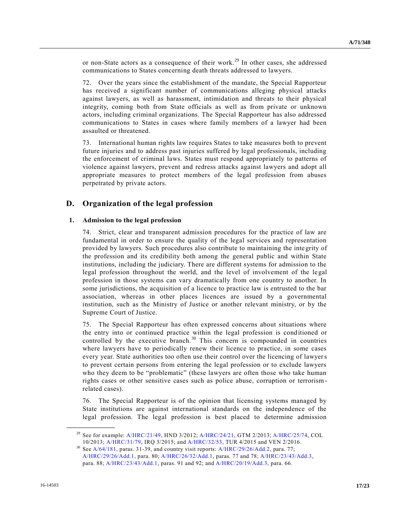or non-State actors as a consequence of their work.<sup>29</sup> In other cases, she addressed communications to States concerning death threats addressed to lawyers.

72. Over the years since the establishment of the mandate, the Special Rapporteur has received a significant number of communications alleging physical attacks against lawyers, as well as harassment, intimidation and threats to their physical integrity, coming both from State officials as well as from private or unknown actors, including criminal organizations. The Special Rapporteur has also addressed communications to States in cases where family members of a lawyer had been assaulted or threatened.

73. International human rights law requires States to take measures both to prevent future injuries and to address past injuries suffered by legal professionals, including the enforcement of criminal laws. States must respond appropriately to patterns of violence against lawyers, prevent and redress attacks against lawyers and adopt all appropriate measures to protect members of the legal profession from abuses perpetrated by private actors.

## **D. Organization of the legal profession**

#### **1. Admission to the legal profession**

74. Strict, clear and transparent admission procedures for the practice of law are fundamental in order to ensure the quality of the legal services and representation provided by lawyers. Such procedures also contribute to maintaining the inte grity of the profession and its credibility both among the general public and within State institutions, including the judiciary. There are different systems for admission to the legal profession throughout the world, and the level of involvement of the legal profession in those systems can vary dramatically from one country to another. In some jurisdictions, the acquisition of a licence to practice law is entrusted to the bar association, whereas in other places licences are issued by a governmental institution, such as the Ministry of Justice or another relevant ministry, or by the Supreme Court of Justice.

75. The Special Rapporteur has often expressed concerns about situations where the entry into or continued practice within the legal profession is conditioned or controlled by the executive branch. $30$  This concern is compounded in countries where lawyers have to periodically renew their licence to practice, in some cases every year. State authorities too often use their control over the licencing of lawyers to prevent certain persons from entering the legal profession or to exclude lawyers who they deem to be "problematic" (these lawyers are often those who take human rights cases or other sensitive cases such as police abuse, corruption or terrorismrelated cases).

76. The Special Rapporteur is of the opinion that licensing systems managed by State institutions are against international standards on the independence of the legal profession. The legal profession is best placed to determine admission

<sup>&</sup>lt;sup>29</sup> See for example:  $A/HRC/21/49$ , HND 3/2012;  $A/HRC/24/21$ , GTM 2/2013;  $A/HRC/25/74$ , COL 10/2013; [A/HRC/31/79,](http://undocs.org/A/HRC/31/79) IRQ 3/2015; and [A/HRC/32/53,](http://undocs.org/A/HRC/32/53) TUR 4/2015 and VEN 2/2016.

 $30$  Se[e A/64/181,](http://undocs.org/A/64/181) paras. 31-39, and country visit reports: [A/HRC/29/26/Add.2,](http://undocs.org/A/HRC/29/26/Add.2) para. 77; [A/HRC/29/26/Add.1,](http://undocs.org/A/HRC/29/26/Add.1) para. 80[; A/HRC/26/32/Add.1,](http://undocs.org/A/HRC/26/32/Add.1) paras. 77 and 78[; A/HRC/23/43/Add.3,](http://undocs.org/A/HRC/23/43/Add.3) para. 88; [A/HRC/23/43/Add.1,](http://undocs.org/A/HRC/23/43/Add.1) paras. 91 and 92; and [A/HRC/20/19/Add.3,](http://undocs.org/A/HRC/20/19/Add.3) para. 66.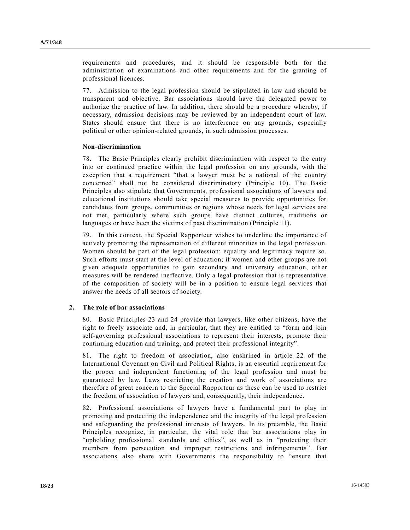requirements and procedures, and it should be responsible both for the administration of examinations and other requirements and for the granting of professional licences.

77. Admission to the legal profession should be stipulated in law and should be transparent and objective. Bar associations should have the delegated power to authorize the practice of law. In addition, there should be a procedure whereby, if necessary, admission decisions may be reviewed by an independent court of law. States should ensure that there is no interference on any grounds, especially political or other opinion-related grounds, in such admission processes.

#### **Non-discrimination**

78. The Basic Principles clearly prohibit discrimination with respect to the entry into or continued practice within the legal profession on any grounds, with the exception that a requirement "that a lawyer must be a national of the country concerned" shall not be considered discriminatory (Principle 10). The Basic Principles also stipulate that Governments, professional associations of lawyers and educational institutions should take special measures to provide opportunities for candidates from groups, communities or regions whose needs for legal services are not met, particularly where such groups have distinct cultures, traditions or languages or have been the victims of past discrimination (Principle 11).

79. In this context, the Special Rapporteur wishes to underline the importance of actively promoting the representation of different minorities in the legal profession. Women should be part of the legal profession; equality and legitimacy require so. Such efforts must start at the level of education; if women and other groups are not given adequate opportunities to gain secondary and university education, other measures will be rendered ineffective. Only a legal profession that is representative of the composition of society will be in a position to ensure legal services that answer the needs of all sectors of society.

## **2. The role of bar associations**

80. Basic Principles 23 and 24 provide that lawyers, like other citizens, have the right to freely associate and, in particular, that they are entitled to "form and join self-governing professional associations to represent their interests, promote their continuing education and training, and protect their professional integrity".

81. The right to freedom of association, also enshrined in article 22 of the International Covenant on Civil and Political Rights, is an essential requirement for the proper and independent functioning of the legal profession and must be guaranteed by law. Laws restricting the creation and work of associations are therefore of great concern to the Special Rapporteur as these can be used to restrict the freedom of association of lawyers and, consequently, their independence.

82. Professional associations of lawyers have a fundamental part to play in promoting and protecting the independence and the integrity of the legal profession and safeguarding the professional interests of lawyers. In its preamble, the Basic Principles recognize, in particular, the vital role that bar associations play in "upholding professional standards and ethics", as well as in "protecting their members from persecution and improper restrictions and infringements". Bar associations also share with Governments the responsibility to "ensure that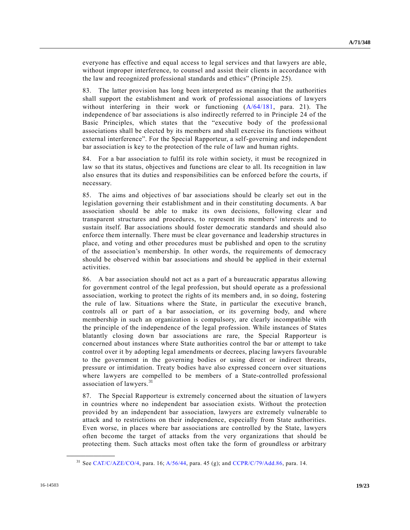everyone has effective and equal access to legal services and that lawyers are able, without improper interference, to counsel and assist their clients in accordance with the law and recognized professional standards and ethics" (Principle 25).

83. The latter provision has long been interpreted as meaning that the authorities shall support the establishment and work of professional associations of lawyers without interfering in their work or functioning  $(A/64/181, \text{ para. } 21)$  $(A/64/181, \text{ para. } 21)$ . The independence of bar associations is also indirectly referred to in Principle 24 of the Basic Principles, which states that the "executive body of the professional associations shall be elected by its members and shall exercise its functions without external interference". For the Special Rapporteur, a self-governing and independent bar association is key to the protection of the rule of law and human rights.

84. For a bar association to fulfil its role within society, it must be recognized in law so that its status, objectives and functions are clear to all. Its recognition in law also ensures that its duties and responsibilities can be enforced before the courts, if necessary.

85. The aims and objectives of bar associations should be clearly set out in the legislation governing their establishment and in their constituting documents. A bar association should be able to make its own decisions, following clear and transparent structures and procedures, to represent its members' interests and to sustain itself. Bar associations should foster democratic standards and should also enforce them internally. There must be clear governance and leadership structures in place, and voting and other procedures must be published and open to the scrutiny of the association's membership. In other words, the requirements of democracy should be observed within bar associations and should be applied in their external activities.

86. A bar association should not act as a part of a bureaucratic apparatus allowing for government control of the legal profession, but should operate as a professional association, working to protect the rights of its members and, in so doing, fostering the rule of law. Situations where the State, in particular the executive branch, controls all or part of a bar association, or its governing body, and where membership in such an organization is compulsory, are clearly incompatible with the principle of the independence of the legal profession. While instances of States blatantly closing down bar associations are rare, the Special Rapporteur is concerned about instances where State authorities control the bar or attempt to take control over it by adopting legal amendments or decrees, placing lawyers favourable to the government in the governing bodies or using direct or indirect threats, pressure or intimidation. Treaty bodies have also expressed concern over situations where lawyers are compelled to be members of a State-controlled professional association of lawyers.<sup>31</sup>

87. The Special Rapporteur is extremely concerned about the situation of lawyers in countries where no independent bar association exists. Without the protection provided by an independent bar association, lawyers are extremely vulnerable to attack and to restrictions on their independence, especially from State authorities. Even worse, in places where bar associations are controlled by the State, lawyers often become the target of attacks from the very organizations that should be protecting them. Such attacks most often take the form of groundless or arbitrary

<sup>&</sup>lt;sup>31</sup> See [CAT/C/AZE/CO/4,](http://undocs.org/CAT/C/AZE/CO/4) para. 16; [A/56/44,](http://undocs.org/A/56/44) para. 45 (g); and [CCPR/C/79/Add.86,](http://undocs.org/CCPR/C/79/Add.86) para. 14.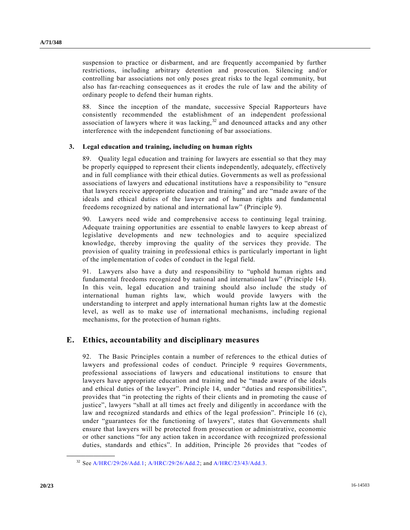suspension to practice or disbarment, and are frequently accompanied by further restrictions, including arbitrary detention and prosecution. Silencing and/or controlling bar associations not only poses great risks to the legal community, but also has far-reaching consequences as it erodes the rule of law and the ability of ordinary people to defend their human rights.

88. Since the inception of the mandate, successive Special Rapporteurs have consistently recommended the establishment of an independent professional association of lawyers where it was lacking, <sup>32</sup> and denounced attacks and any other interference with the independent functioning of bar associations.

## **3. Legal education and training, including on human rights**

89. Quality legal education and training for lawyers are essential so that they may be properly equipped to represent their clients independently, adequately, effectively and in full compliance with their ethical duties. Governments as well as professional associations of lawyers and educational institutions have a responsibility to "ensure that lawyers receive appropriate education and training" and are "made aware of the ideals and ethical duties of the lawyer and of human rights and fundamental freedoms recognized by national and international law" (Principle 9).

90. Lawyers need wide and comprehensive access to continuing legal training. Adequate training opportunities are essential to enable lawyers to keep abreast of legislative developments and new technologies and to acquire specialized knowledge, thereby improving the quality of the services they provide. The provision of quality training in professional ethics is particularly important in light of the implementation of codes of conduct in the legal field.

91. Lawyers also have a duty and responsibility to "uphold human rights and fundamental freedoms recognized by national and international law" (Principle 14). In this vein, legal education and training should also include the study of international human rights law, which would provide lawyers with the understanding to interpret and apply international human rights law at the domestic level, as well as to make use of international mechanisms, including regional mechanisms, for the protection of human rights.

## **E. Ethics, accountability and disciplinary measures**

92. The Basic Principles contain a number of references to the ethical duties of lawyers and professional codes of conduct. Principle 9 requires Governments, professional associations of lawyers and educational institutions to ensure that lawyers have appropriate education and training and be "made aware of the ideals and ethical duties of the lawyer". Principle 14, under "duties and responsibilities", provides that "in protecting the rights of their clients and in promoting the cause of justice", lawyers "shall at all times act freely and diligently in accordance with the law and recognized standards and ethics of the legal profession". Principle 16 (c), under "guarantees for the functioning of lawyers", states that Governments shall ensure that lawyers will be protected from prosecution or administrative, economic or other sanctions "for any action taken in accordance with recognized professional duties, standards and ethics". In addition, Principle 26 provides that "codes of

<sup>32</sup> Se[e A/HRC/29/26/Add.1;](http://undocs.org/A/HRC/29/26/Add.1) [A/HRC/29/26/Add.2;](http://undocs.org/A/HRC/29/26/Add.2) and [A/HRC/23/43/Add.3.](http://undocs.org/A/HRC/23/43/Add.3)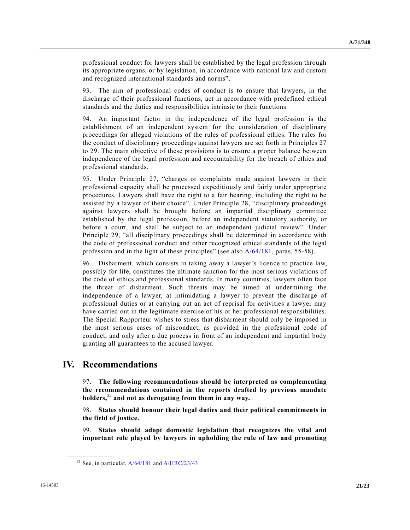professional conduct for lawyers shall be established by the legal profession through its appropriate organs, or by legislation, in accordance with national law and custom and recognized international standards and norms".

93. The aim of professional codes of conduct is to ensure that lawyers, in the discharge of their professional functions, act in accordance with predefined ethical standards and the duties and responsibilities intrinsic to their functions.

94. An important factor in the independence of the legal profession is the establishment of an independent system for the consideration of disciplinary proceedings for alleged violations of the rules of professional ethics. The rules for the conduct of disciplinary proceedings against lawyers are set forth in Principles 27 to 29. The main objective of these provisions is to ensure a proper balance between independence of the legal profession and accountability for the breach of ethics and professional standards.

95. Under Principle 27, "charges or complaints made against lawyers in their professional capacity shall be processed expeditiously and fairly under appropriate procedures. Lawyers shall have the right to a fair hearing, including the right to be assisted by a lawyer of their choice". Under Principle 28, "disciplinary proceedings against lawyers shall be brought before an impartial disciplinary committee established by the legal profession, before an independent statutory authority, or before a court, and shall be subject to an independent judicial review". Under Principle 29, "all disciplinary proceedings shall be determined in accordance with the code of professional conduct and other recognized ethical standards of the legal profession and in the light of these principles" (see also [A/64/181,](http://undocs.org/A/64/181) paras. 55-58).

96. Disbarment, which consists in taking away a lawyer's licence to practice law, possibly for life, constitutes the ultimate sanction for the most serious violations of the code of ethics and professional standards. In many countries, lawyers often face the threat of disbarment. Such threats may be aimed at undermining the independence of a lawyer, at intimidating a lawyer to prevent the discharge of professional duties or at carrying out an act of reprisal for activities a lawyer may have carried out in the legitimate exercise of his or her professional responsibilities. The Special Rapporteur wishes to stress that disbarment should only be imposed in the most serious cases of misconduct, as provided in the professional code of conduct, and only after a due process in front of an independent and impartial body granting all guarantees to the accused lawyer.

# **IV. Recommendations**

**\_\_\_\_\_\_\_\_\_\_\_\_\_\_\_\_\_\_**

97. **The following recommendations should be interpreted as complementing the recommendations contained in the reports drafted by previous mandate holders,**<sup>33</sup> **and not as derogating from them in any way.**

98. **States should honour their legal duties and their political commitments in the field of justice.**

99. **States should adopt domestic legislation that recognizes the vital and important role played by lawyers in upholding the rule of law and promoting** 

 $33$  See, in particular,  $A/64/181$  and  $A/HRC/23/43$ .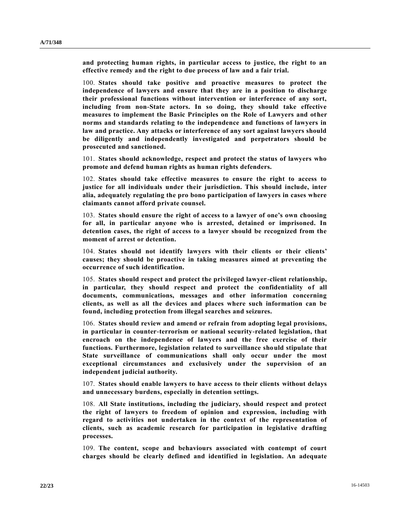**and protecting human rights, in particular access to justice, the right to an effective remedy and the right to due process of law and a fair trial.**

100. **States should take positive and proactive measures to protect the independence of lawyers and ensure that they are in a position to discharge their professional functions without intervention or interference of any sort, including from non-State actors. In so doing, they should take effective measures to implement the Basic Principles on the Role of Lawyers and other norms and standards relating to the independence and functions of lawyers in law and practice. Any attacks or interference of any sort against lawyers should be diligently and independently investigated and perpetrators should be prosecuted and sanctioned.**

101. **States should acknowledge, respect and protect the status of lawyers who promote and defend human rights as human rights defenders.**

102. **States should take effective measures to ensure the right to access to justice for all individuals under their jurisdiction. This should include, inter alia, adequately regulating the pro bono participation of lawyers in cases where claimants cannot afford private counsel.**

103. **States should ensure the right of access to a lawyer of one's own choosing for all, in particular anyone who is arrested, detained or imprisoned. In detention cases, the right of access to a lawyer should be recognized from the moment of arrest or detention.**

104. **States should not identify lawyers with their clients or their clients' causes; they should be proactive in taking measures aimed at preventing the occurrence of such identification.**

105. **States should respect and protect the privileged lawyer-client relationship, in particular, they should respect and protect the confidentiality of all documents, communications, messages and other information concerning clients, as well as all the devices and places where such information can be found, including protection from illegal searches and seizures.**

106. **States should review and amend or refrain from adopting legal provisions, in particular in counter-terrorism or national security-related legislation, that encroach on the independence of lawyers and the free exercise of their functions. Furthermore, legislation related to surveillance should stipulate that State surveillance of communications shall only occur under the most exceptional circumstances and exclusively under the supervision of an independent judicial authority.**

107. **States should enable lawyers to have access to their clients without delays and unnecessary burdens, especially in detention settings.**

108. **All State institutions, including the judiciary, should respect and protect the right of lawyers to freedom of opinion and expression, including with regard to activities not undertaken in the context of the representation of clients, such as academic research for participation in legislative drafting processes.**

109. **The content, scope and behaviours associated with contempt of court charges should be clearly defined and identified in legislation. An adequate**